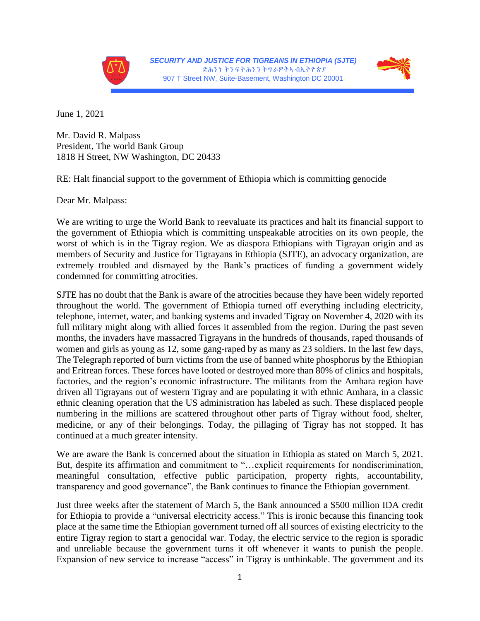



June 1, 2021

Mr. David R. Malpass President, The world Bank Group 1818 H Street, NW Washington, DC 20433

RE: Halt financial support to the government of Ethiopia which is committing genocide

Dear Mr. Malpass:

We are writing to urge the World Bank to reevaluate its practices and halt its financial support to the government of Ethiopia which is committing unspeakable atrocities on its own people, the worst of which is in the Tigray region. We as diaspora Ethiopians with Tigrayan origin and as members of Security and Justice for Tigrayans in Ethiopia (SJTE), an advocacy organization, are extremely troubled and dismayed by the Bank's practices of funding a government widely condemned for committing atrocities.

SJTE has no doubt that the Bank is aware of the atrocities because they have been widely reported throughout the world. The government of Ethiopia turned off everything including electricity, telephone, internet, water, and banking systems and invaded Tigray on November 4, 2020 with its full military might along with allied forces it assembled from the region. During the past seven months, the invaders have massacred Tigrayans in the hundreds of thousands, raped thousands of women and girls as young as 12, some gang-raped by as many as 23 soldiers. In the last few days, The Telegraph reported of burn victims from the use of banned white phosphorus by the Ethiopian and Eritrean forces. These forces have looted or destroyed more than 80% of clinics and hospitals, factories, and the region's economic infrastructure. The militants from the Amhara region have driven all Tigrayans out of western Tigray and are populating it with ethnic Amhara, in a classic ethnic cleaning operation that the US administration has labeled as such. These displaced people numbering in the millions are scattered throughout other parts of Tigray without food, shelter, medicine, or any of their belongings. Today, the pillaging of Tigray has not stopped. It has continued at a much greater intensity.

We are aware the Bank is concerned about the situation in Ethiopia as stated on March 5, 2021. But, despite its affirmation and commitment to "…explicit requirements for nondiscrimination, meaningful consultation, effective public participation, property rights, accountability, transparency and good governance", the Bank continues to finance the Ethiopian government.

Just three weeks after the statement of March 5, the Bank announced a \$500 million IDA credit for Ethiopia to provide a "universal electricity access." This is ironic because this financing took place at the same time the Ethiopian government turned off all sources of existing electricity to the entire Tigray region to start a genocidal war. Today, the electric service to the region is sporadic and unreliable because the government turns it off whenever it wants to punish the people. Expansion of new service to increase "access" in Tigray is unthinkable. The government and its